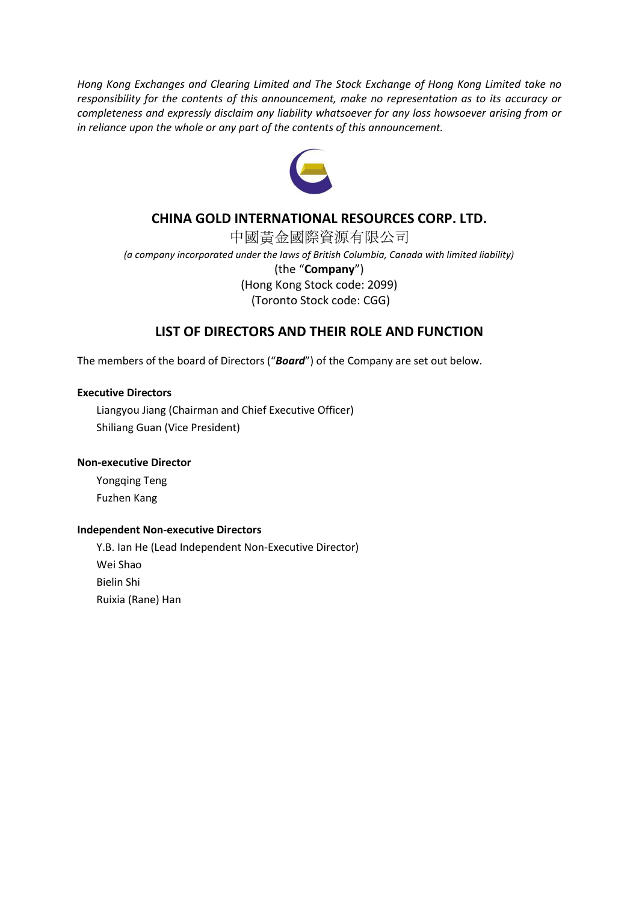*Hong Kong Exchanges and Clearing Limited and The Stock Exchange of Hong Kong Limited take no responsibility for the contents of this announcement, make no representation as to its accuracy or completeness and expressly disclaim any liability whatsoever for any loss howsoever arising from or in reliance upon the whole or any part of the contents of this announcement.*



## **CHINA GOLD INTERNATIONAL RESOURCES CORP. LTD.**

中國黃金國際資源有限公司 *(a company incorporated under the laws of British Columbia, Canada with limited liability)* (the "**Company**") (Hong Kong Stock code: 2099) (Toronto Stock code: CGG)

### **LIST OF DIRECTORS AND THEIR ROLE AND FUNCTION**

The members of the board of Directors ("*Board*") of the Company are set out below.

### **Executive Directors**

Liangyou Jiang (Chairman and Chief Executive Officer) Shiliang Guan (Vice President)

#### **Non-executive Director**

Yongqing Teng Fuzhen Kang

#### **Independent Non-executive Directors**

Y.B. Ian He (Lead Independent Non-Executive Director) Wei Shao Bielin Shi Ruixia (Rane) Han